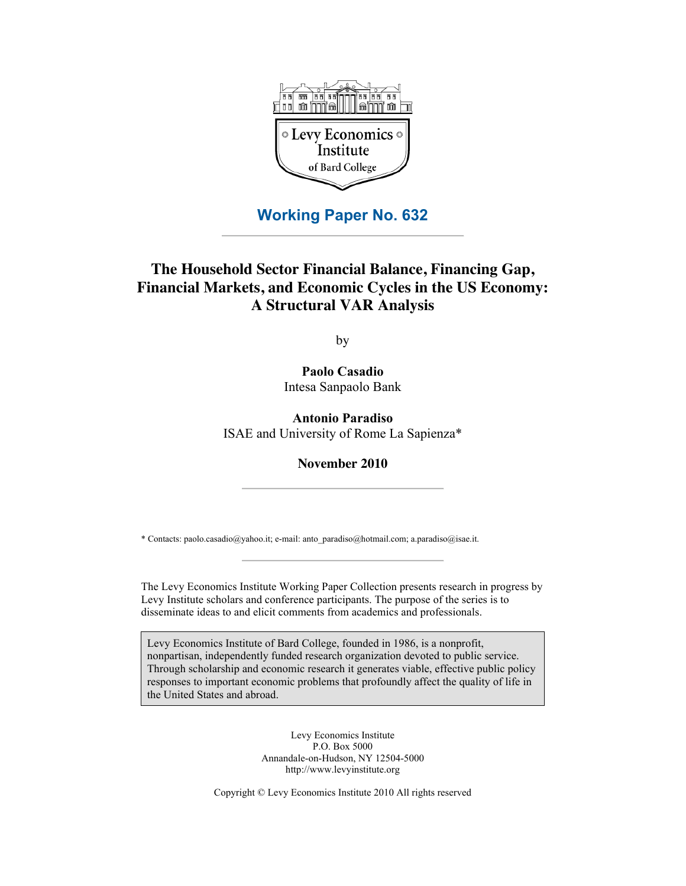

## **Working Paper No. 632**

# **The Household Sector Financial Balance, Financing Gap, Financial Markets, and Economic Cycles in the US Economy: A Structural VAR Analysis**

by

**Paolo Casadio** Intesa Sanpaolo Bank

**Antonio Paradiso** ISAE and University of Rome La Sapienza\*

**November 2010**

\* Contacts: paolo.casadio@yahoo.it; e-mail: anto\_paradiso@hotmail.com; a.paradiso@isae.it.

The Levy Economics Institute Working Paper Collection presents research in progress by Levy Institute scholars and conference participants. The purpose of the series is to disseminate ideas to and elicit comments from academics and professionals.

Levy Economics Institute of Bard College, founded in 1986, is a nonprofit, nonpartisan, independently funded research organization devoted to public service. Through scholarship and economic research it generates viable, effective public policy responses to important economic problems that profoundly affect the quality of life in the United States and abroad.

> Levy Economics Institute P.O. Box 5000 Annandale-on-Hudson, NY 12504-5000 http://www.levyinstitute.org

Copyright © Levy Economics Institute 2010 All rights reserved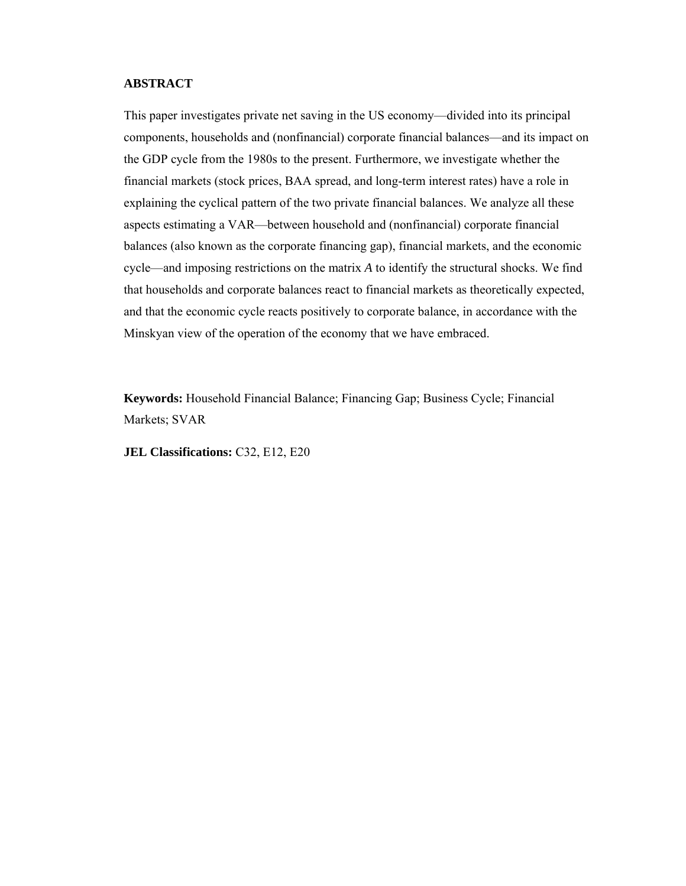## **ABSTRACT**

This paper investigates private net saving in the US economy—divided into its principal components, households and (nonfinancial) corporate financial balances—and its impact on the GDP cycle from the 1980s to the present. Furthermore, we investigate whether the financial markets (stock prices, BAA spread, and long-term interest rates) have a role in explaining the cyclical pattern of the two private financial balances. We analyze all these aspects estimating a VAR—between household and (nonfinancial) corporate financial balances (also known as the corporate financing gap), financial markets, and the economic cycle—and imposing restrictions on the matrix *A* to identify the structural shocks. We find that households and corporate balances react to financial markets as theoretically expected, and that the economic cycle reacts positively to corporate balance, in accordance with the Minskyan view of the operation of the economy that we have embraced.

**Keywords:** Household Financial Balance; Financing Gap; Business Cycle; Financial Markets; SVAR

**JEL Classifications:** C32, E12, E20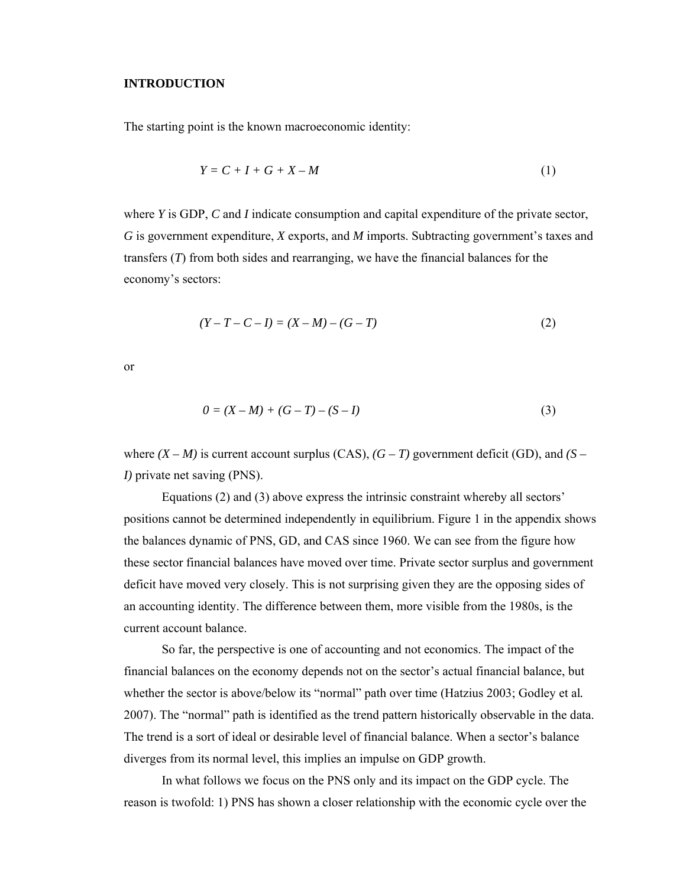#### **INTRODUCTION**

The starting point is the known macroeconomic identity:

$$
Y = C + I + G + X - M \tag{1}
$$

where *Y* is GDP, *C* and *I* indicate consumption and capital expenditure of the private sector, *G* is government expenditure, *X* exports, and *M* imports. Subtracting government's taxes and transfers (*T*) from both sides and rearranging, we have the financial balances for the economy's sectors:

$$
(Y - T - C - I) = (X - M) - (G - T)
$$
\n(2)

or

$$
0 = (X - M) + (G - T) - (S - I)
$$
\n(3)

where  $(X - M)$  is current account surplus  $(CAS)$ ,  $(G - T)$  government deficit  $(GD)$ , and  $(S - T)$ *I)* private net saving (PNS).

Equations (2) and (3) above express the intrinsic constraint whereby all sectors' positions cannot be determined independently in equilibrium. Figure 1 in the appendix shows the balances dynamic of PNS, GD, and CAS since 1960. We can see from the figure how these sector financial balances have moved over time. Private sector surplus and government deficit have moved very closely. This is not surprising given they are the opposing sides of an accounting identity. The difference between them, more visible from the 1980s, is the current account balance.

So far, the perspective is one of accounting and not economics. The impact of the financial balances on the economy depends not on the sector's actual financial balance, but whether the sector is above/below its "normal" path over time (Hatzius 2003; Godley et al*.* 2007). The "normal" path is identified as the trend pattern historically observable in the data. The trend is a sort of ideal or desirable level of financial balance. When a sector's balance diverges from its normal level, this implies an impulse on GDP growth.

In what follows we focus on the PNS only and its impact on the GDP cycle. The reason is twofold: 1) PNS has shown a closer relationship with the economic cycle over the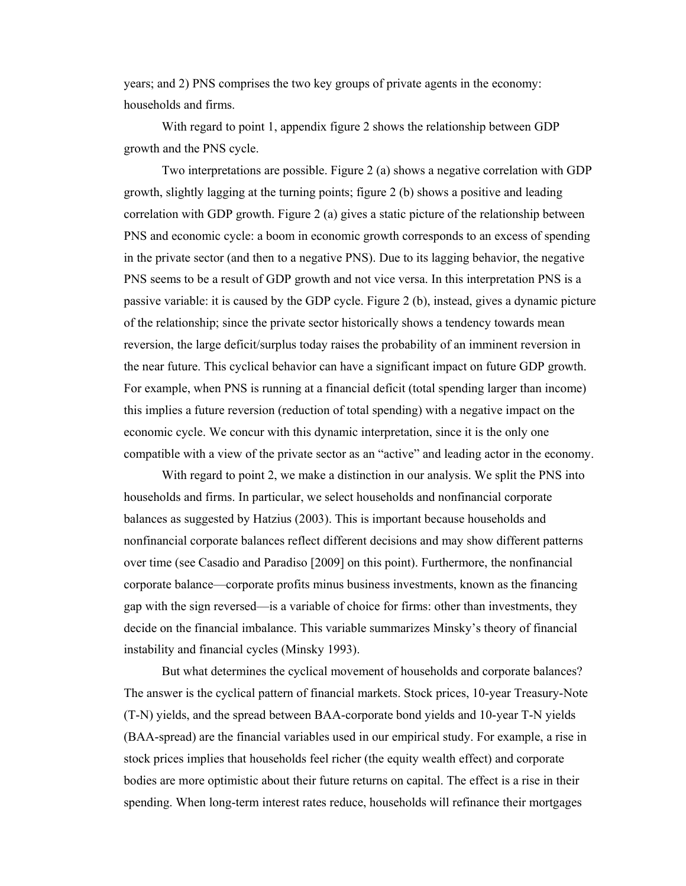years; and 2) PNS comprises the two key groups of private agents in the economy: households and firms.

With regard to point 1, appendix figure 2 shows the relationship between GDP growth and the PNS cycle.

Two interpretations are possible. Figure 2 (a) shows a negative correlation with GDP growth, slightly lagging at the turning points; figure 2 (b) shows a positive and leading correlation with GDP growth. Figure 2 (a) gives a static picture of the relationship between PNS and economic cycle: a boom in economic growth corresponds to an excess of spending in the private sector (and then to a negative PNS). Due to its lagging behavior, the negative PNS seems to be a result of GDP growth and not vice versa. In this interpretation PNS is a passive variable: it is caused by the GDP cycle. Figure 2 (b), instead, gives a dynamic picture of the relationship; since the private sector historically shows a tendency towards mean reversion, the large deficit/surplus today raises the probability of an imminent reversion in the near future. This cyclical behavior can have a significant impact on future GDP growth. For example, when PNS is running at a financial deficit (total spending larger than income) this implies a future reversion (reduction of total spending) with a negative impact on the economic cycle. We concur with this dynamic interpretation, since it is the only one compatible with a view of the private sector as an "active" and leading actor in the economy.

With regard to point 2, we make a distinction in our analysis. We split the PNS into households and firms. In particular, we select households and nonfinancial corporate balances as suggested by Hatzius (2003). This is important because households and nonfinancial corporate balances reflect different decisions and may show different patterns over time (see Casadio and Paradiso [2009] on this point). Furthermore, the nonfinancial corporate balance—corporate profits minus business investments, known as the financing gap with the sign reversed—is a variable of choice for firms: other than investments, they decide on the financial imbalance. This variable summarizes Minsky's theory of financial instability and financial cycles (Minsky 1993).

But what determines the cyclical movement of households and corporate balances? The answer is the cyclical pattern of financial markets. Stock prices, 10-year Treasury-Note (T-N) yields, and the spread between BAA-corporate bond yields and 10-year T-N yields (BAA-spread) are the financial variables used in our empirical study. For example, a rise in stock prices implies that households feel richer (the equity wealth effect) and corporate bodies are more optimistic about their future returns on capital. The effect is a rise in their spending. When long-term interest rates reduce, households will refinance their mortgages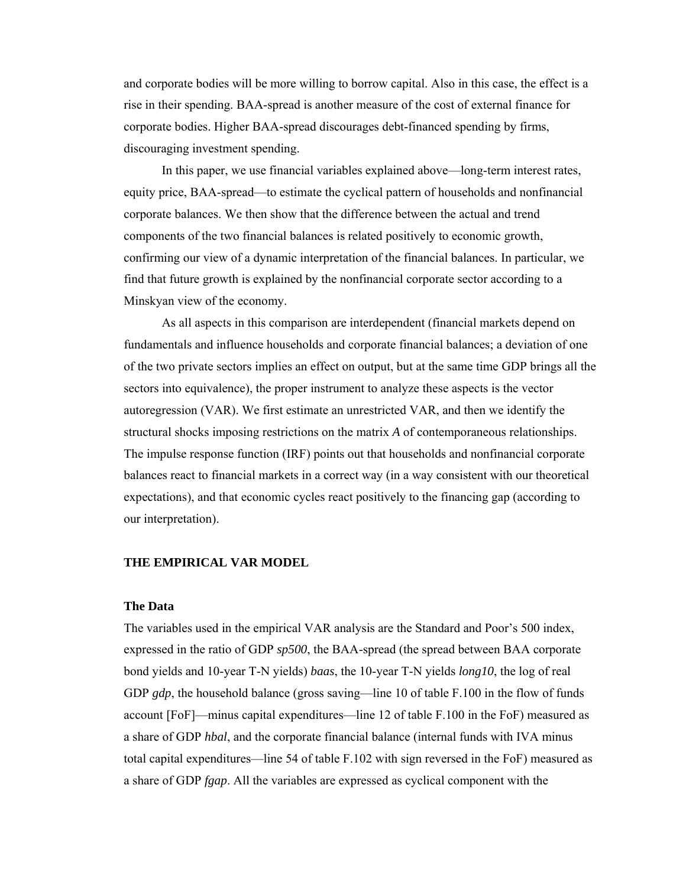and corporate bodies will be more willing to borrow capital. Also in this case, the effect is a rise in their spending. BAA-spread is another measure of the cost of external finance for corporate bodies. Higher BAA-spread discourages debt-financed spending by firms, discouraging investment spending.

In this paper, we use financial variables explained above—long-term interest rates, equity price, BAA-spread—to estimate the cyclical pattern of households and nonfinancial corporate balances. We then show that the difference between the actual and trend components of the two financial balances is related positively to economic growth, confirming our view of a dynamic interpretation of the financial balances. In particular, we find that future growth is explained by the nonfinancial corporate sector according to a Minskyan view of the economy.

As all aspects in this comparison are interdependent (financial markets depend on fundamentals and influence households and corporate financial balances; a deviation of one of the two private sectors implies an effect on output, but at the same time GDP brings all the sectors into equivalence), the proper instrument to analyze these aspects is the vector autoregression (VAR). We first estimate an unrestricted VAR, and then we identify the structural shocks imposing restrictions on the matrix *A* of contemporaneous relationships. The impulse response function (IRF) points out that households and nonfinancial corporate balances react to financial markets in a correct way (in a way consistent with our theoretical expectations), and that economic cycles react positively to the financing gap (according to our interpretation).

#### **THE EMPIRICAL VAR MODEL**

#### **The Data**

The variables used in the empirical VAR analysis are the Standard and Poor's 500 index, expressed in the ratio of GDP *sp500*, the BAA-spread (the spread between BAA corporate bond yields and 10-year T-N yields) *baas*, the 10-year T-N yields *long10*, the log of real GDP *gdp*, the household balance (gross saving—line 10 of table F.100 in the flow of funds account [FoF]—minus capital expenditures—line 12 of table F.100 in the FoF) measured as a share of GDP *hbal*, and the corporate financial balance (internal funds with IVA minus total capital expenditures—line 54 of table F.102 with sign reversed in the FoF) measured as a share of GDP *fgap*. All the variables are expressed as cyclical component with the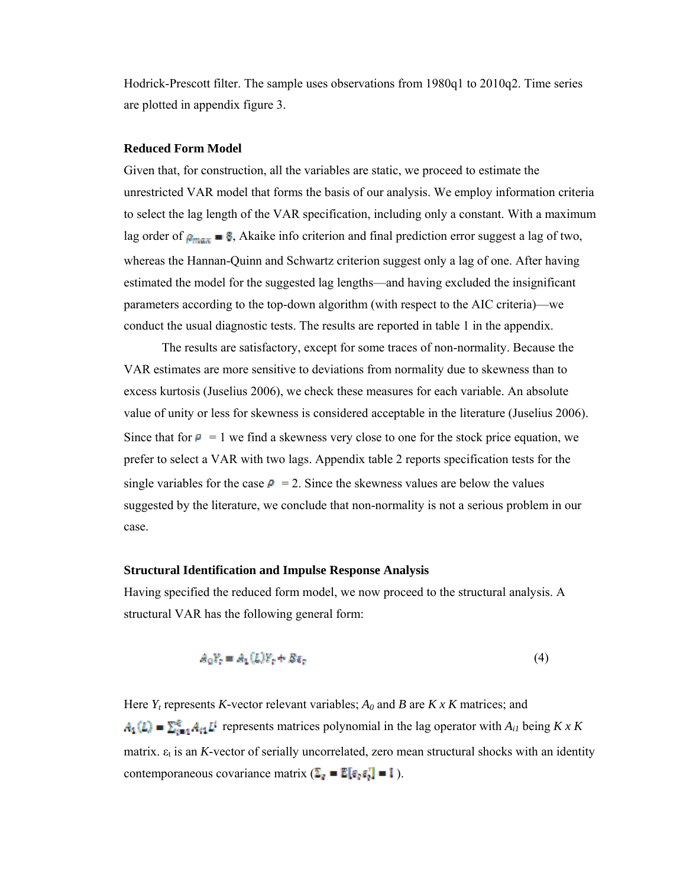Hodrick-Prescott filter. The sample uses observations from 1980q1 to 2010q2. Time series are plotted in appendix figure 3.

## **Reduced Form Model**

Given that, for construction, all the variables are static, we proceed to estimate the unrestricted VAR model that forms the basis of our analysis. We employ information criteria to select the lag length of the VAR specification, including only a constant. With a maximum lag order of  $\rho_{\text{max}} =$  §, Akaike info criterion and final prediction error suggest a lag of two, whereas the Hannan-Quinn and Schwartz criterion suggest only a lag of one. After having estimated the model for the suggested lag lengths—and having excluded the insignificant parameters according to the top-down algorithm (with respect to the AIC criteria)—we conduct the usual diagnostic tests. The results are reported in table 1 in the appendix.

The results are satisfactory, except for some traces of non-normality. Because the VAR estimates are more sensitive to deviations from normality due to skewness than to excess kurtosis (Juselius 2006), we check these measures for each variable. An absolute value of unity or less for skewness is considered acceptable in the literature (Juselius 2006). Since that for  $p = 1$  we find a skewness very close to one for the stock price equation, we prefer to select a VAR with two lags. Appendix table 2 reports specification tests for the single variables for the case  $\rho = 2$ . Since the skewness values are below the values suggested by the literature, we conclude that non-normality is not a serious problem in our case.

#### **Structural Identification and Impulse Response Analysis**

Having specified the reduced form model, we now proceed to the structural analysis. A structural VAR has the following general form:

$$
A_0 Y_r = A_1(L) Y_r + B \varepsilon_r \tag{4}
$$

Here *Yt* represents *K-*vector relevant variables; *A0* and *B* are *K x K* matrices; and  $A_1(k) = \sum_{i=1}^{q} A_{i1} k^{i}$  represents matrices polynomial in the lag operator with  $A_{i1}$  being  $K \times K$ matrix. ε<sub>t</sub> is an *K*-vector of serially uncorrelated, zero mean structural shocks with an identity contemporaneous covariance matrix  $(\Sigma_{\vec{e}} = \mathbb{E}[\epsilon_{\vec{e}} \epsilon_{\vec{e}}^T] = 1)$ .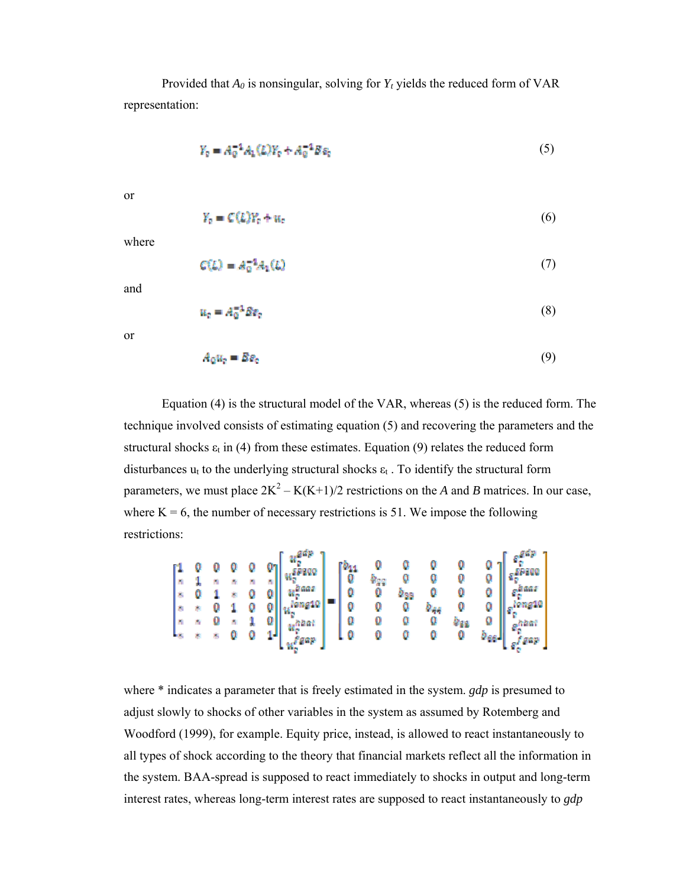Provided that  $A_0$  is nonsingular, solving for  $Y_t$  yields the reduced form of VAR representation:

$$
Y_{0} = A_{0}^{-1}A_{1}(L)Y_{0} + A_{0}^{-1}B\varepsilon_{0}
$$
\n(5)

or

$$
Y_p = C(L)Y_p + u_p \tag{6}
$$

where

$$
C(L) = A_0^{-1} A_1(L) \tag{7}
$$

and

$$
u_c = A_0^{-1} \delta v_c \tag{8}
$$

or

$$
A_0 u_r = B e_r \tag{9}
$$

Equation (4) is the structural model of the VAR, whereas (5) is the reduced form. The technique involved consists of estimating equation (5) and recovering the parameters and the structural shocks  $\varepsilon_t$  in (4) from these estimates. Equation (9) relates the reduced form disturbances  $u_t$  to the underlying structural shocks  $\varepsilon_t$ . To identify the structural form parameters, we must place  $2K^2 - K(K+1)/2$  restrictions on the *A* and *B* matrices. In our case, where  $K = 6$ , the number of necessary restrictions is 51. We impose the following restrictions:

$$
\begin{bmatrix} 1 & 0 & 0 & 0 & 0 & 0 \ 1 & 1 & 1 & 1 & 0 & 0 \ 2 & 0 & 1 & 1 & 0 & 0 \ 3 & 4 & 0 & 1 & 0 & 0 \ 1 & 1 & 0 & 0 & 1 & 0 \ 1 & 1 & 0 & 0 & 0 & 0 \ 1 & 1 & 0 & 0 & 0 & 0 \ 1 & 1 & 0 & 0 & 0 & 0 \ 1 & 1 & 0 & 0 & 0 & 0 \ 1 & 1 & 0 & 0 & 0 & 0 \ 1 & 1 & 0 & 0 & 0 & 0 \ 1 & 1 & 0 & 0 & 0 & 0 \ 1 & 1 & 0 & 0 & 0 & 0 \ 1 & 1 & 0 & 0 & 0 & 0 & 0 \ 1 & 0 & 0 & 0 & 0 & 0 & 0 \ 1 & 0 & 0 & 0 & 0 & 0 & 0 \ 1 & 0 & 0 & 0 & 0 & 0 & 0 \end{bmatrix} \begin{bmatrix} u_1^{2d} & 0 & 0 & 0 & 0 \ 0 & 0 & u_2 & 0 & 0 \ 0 & 0 & 0 & u_3 & 0 \ 0 & 0 & 0 & 0 & 0 \ 0 & 0 & 0 & 0 & 0 \ 0 & 0 & 0 & 0 & 0 \ 0 & 0 & 0 & 0 & 0 \ 0 & 0 & 0 & 0 & 0 \end{bmatrix} \begin{bmatrix} e_1^{2d} \\ e_2^{2d} \\ e_3^{2d} \\ e_4^{2d} \\ e_5^{2d} \\ e_6^{2d} \\ e_7^{2d} \\ e_8^{2d} \\ e_9^{2d} \\ e_9^{2d} \\ e_9^{2d} \\ e_9^{2d} \\ e_9^{2d} \\ e_9^{2d} \\ e_9^{2d} \\ e_9^{2d} \\ e_9^{2d} \\ e_9^{2d} \\ e_9^{2d} \\ e_9^{2d} \\ e_9^{2d} \\ e_9^{2d} \\ e_9^{2d} \\ e_9^{2d} \\ e_9^{2d} \\ e_9^{2d} \\ e_9^{2d} \\ e_9^{2d} \\ e_9^{2d} \\ e_9^{2d} \\ e_9^{2d} \\ e_9^{2d} \\ e_9^{2d} \\ e_9^{2d} \\ e_9^{2d} \\ e_9^{2d}
$$

where \* indicates a parameter that is freely estimated in the system. *gdp* is presumed to adjust slowly to shocks of other variables in the system as assumed by Rotemberg and Woodford (1999), for example. Equity price, instead, is allowed to react instantaneously to all types of shock according to the theory that financial markets reflect all the information in the system. BAA-spread is supposed to react immediately to shocks in output and long-term interest rates, whereas long-term interest rates are supposed to react instantaneously to *gdp*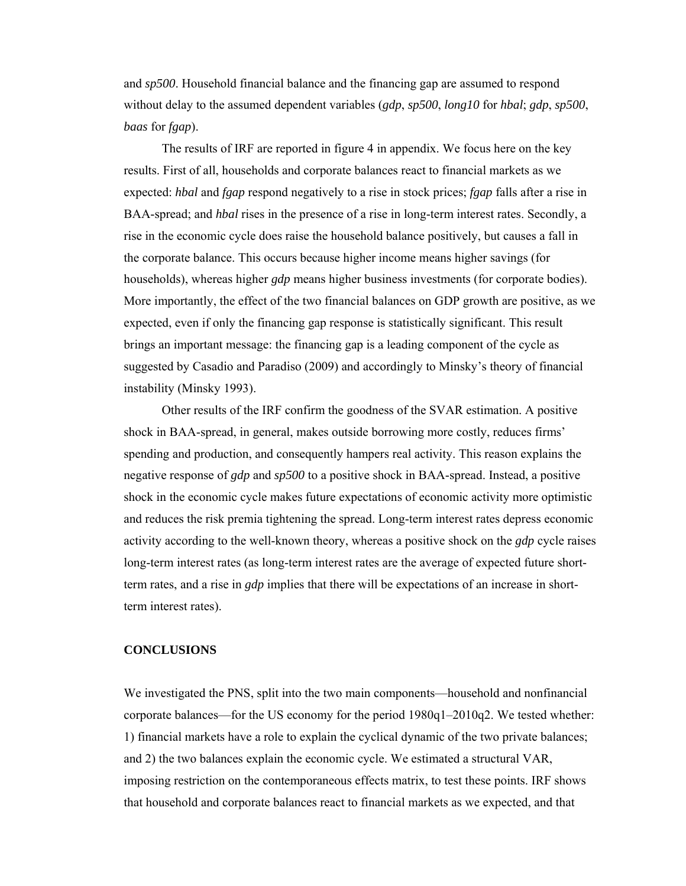and *sp500*. Household financial balance and the financing gap are assumed to respond without delay to the assumed dependent variables (*gdp*, *sp500*, *long10* for *hbal*; *gdp*, *sp500*, *baas* for *fgap*).

The results of IRF are reported in figure 4 in appendix. We focus here on the key results. First of all, households and corporate balances react to financial markets as we expected: *hbal* and *fgap* respond negatively to a rise in stock prices; *fgap* falls after a rise in BAA-spread; and *hbal* rises in the presence of a rise in long-term interest rates. Secondly, a rise in the economic cycle does raise the household balance positively, but causes a fall in the corporate balance. This occurs because higher income means higher savings (for households), whereas higher *gdp* means higher business investments (for corporate bodies). More importantly, the effect of the two financial balances on GDP growth are positive, as we expected, even if only the financing gap response is statistically significant. This result brings an important message: the financing gap is a leading component of the cycle as suggested by Casadio and Paradiso (2009) and accordingly to Minsky's theory of financial instability (Minsky 1993).

Other results of the IRF confirm the goodness of the SVAR estimation. A positive shock in BAA-spread, in general, makes outside borrowing more costly, reduces firms' spending and production, and consequently hampers real activity. This reason explains the negative response of *gdp* and *sp500* to a positive shock in BAA-spread. Instead, a positive shock in the economic cycle makes future expectations of economic activity more optimistic and reduces the risk premia tightening the spread. Long-term interest rates depress economic activity according to the well-known theory, whereas a positive shock on the *gdp* cycle raises long-term interest rates (as long-term interest rates are the average of expected future shortterm rates, and a rise in *gdp* implies that there will be expectations of an increase in shortterm interest rates).

#### **CONCLUSIONS**

We investigated the PNS, split into the two main components—household and nonfinancial corporate balances—for the US economy for the period 1980q1–2010q2. We tested whether: 1) financial markets have a role to explain the cyclical dynamic of the two private balances; and 2) the two balances explain the economic cycle. We estimated a structural VAR, imposing restriction on the contemporaneous effects matrix, to test these points. IRF shows that household and corporate balances react to financial markets as we expected, and that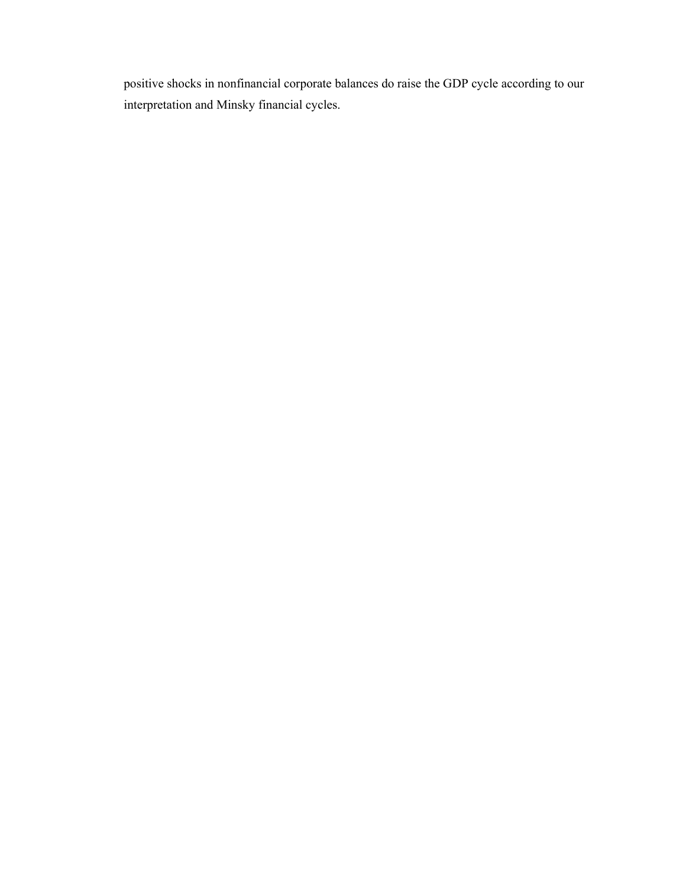positive shocks in nonfinancial corporate balances do raise the GDP cycle according to our interpretation and Minsky financial cycles.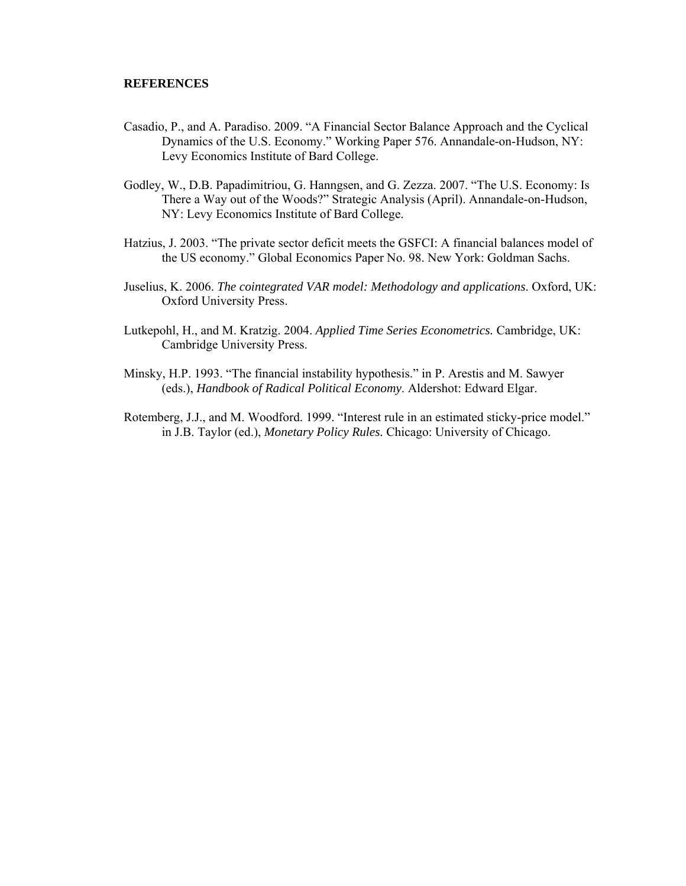## **REFERENCES**

- Casadio, P., and A. Paradiso. 2009. "A Financial Sector Balance Approach and the Cyclical Dynamics of the U.S. Economy." Working Paper 576. Annandale-on-Hudson, NY: Levy Economics Institute of Bard College.
- Godley, W., D.B. Papadimitriou, G. Hanngsen, and G. Zezza. 2007. "The U.S. Economy: Is There a Way out of the Woods?" Strategic Analysis (April). Annandale-on-Hudson, NY: Levy Economics Institute of Bard College.
- Hatzius, J. 2003. "The private sector deficit meets the GSFCI: A financial balances model of the US economy." Global Economics Paper No. 98. New York: Goldman Sachs.
- Juselius, K. 2006. *The cointegrated VAR model: Methodology and applications*. Oxford, UK: Oxford University Press.
- Lutkepohl, H., and M. Kratzig. 2004. *Applied Time Series Econometrics.* Cambridge, UK: Cambridge University Press.
- Minsky, H.P. 1993. "The financial instability hypothesis." in P. Arestis and M. Sawyer (eds.), *Handbook of Radical Political Economy*. Aldershot: Edward Elgar.
- Rotemberg, J.J., and M. Woodford. 1999. "Interest rule in an estimated sticky-price model." in J.B. Taylor (ed.), *Monetary Policy Rules.* Chicago: University of Chicago.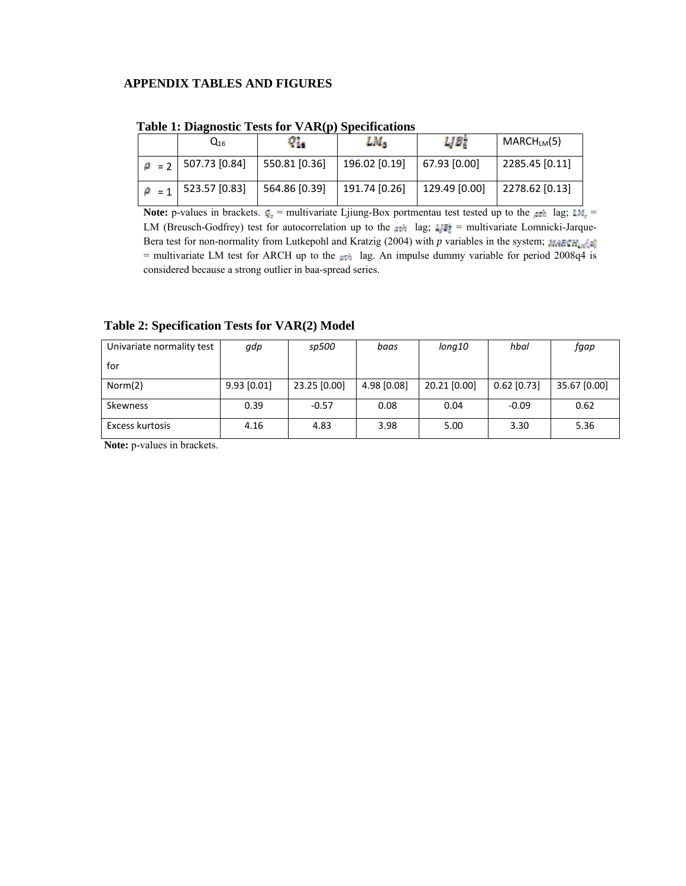## **APPENDIX TABLES AND FIGURES**

|              | $Q_{16}$      | 91.           | LM.           | IJB,          | $MARCH_{LM}(5)$ |  |  |
|--------------|---------------|---------------|---------------|---------------|-----------------|--|--|
| $\rho = 2$   | 507.73   0.84 | 550.81 [0.36] | 196.02 [0.19] | 67.93   0.00  | 2285.45 [0.11]  |  |  |
| $\theta = 1$ | 523.57 [0.83] | 564.86 [0.39] | 191.74 [0.26] | 129.49 [0.00] | 2278.62 [0.13]  |  |  |

 **Table 1: Diagnostic Tests for VAR(p) Specifications** 

**Note:** p-values in brackets.  $q_x$  = multivariate Ljiung-Box portmentau test tested up to the pth lag;  $LM_x$  = LM (Breusch-Godfrey) test for autocorrelation up to the  $\rho$ th lag;  $\mathbb{L}P^* =$  multivariate Lomnicki-Jarque-Bera test for non-normality from Lutkepohl and Kratzig (2004) with *p* variables in the system; MARCH<sub>28</sub><sup>6</sup> = multivariate LM test for ARCH up to the  $\rho$ <sub>n</sub> lag. An impulse dummy variable for period 2008q4 is considered because a strong outlier in baa-spread series.

## **Table 2: Specification Tests for VAR(2) Model**

| Univariate normality test | gdp           | sp500        | baas        | long10       | hbal          | fgap         |
|---------------------------|---------------|--------------|-------------|--------------|---------------|--------------|
| for                       |               |              |             |              |               |              |
| Norm(2)                   | $9.93$ [0.01] | 23.25 [0.00] | 4.98 [0.08] | 20.21 [0.00] | $0.62$ [0.73] | 35.67 [0.00] |
| <b>Skewness</b>           | 0.39          | $-0.57$      | 0.08        | 0.04         | $-0.09$       | 0.62         |
| Excess kurtosis           | 4.16          | 4.83         | 3.98        | 5.00         | 3.30          | 5.36         |

**Note:** p-values in brackets.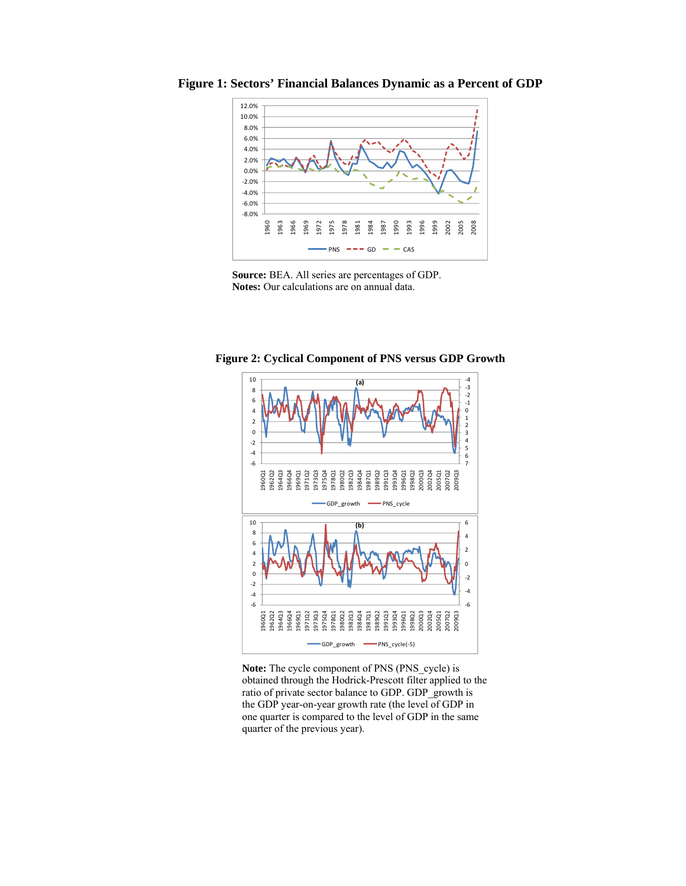

**Figure 1: Sectors' Financial Balances Dynamic as a Percent of GDP** 





**Figure 2: Cyclical Component of PNS versus GDP Growth** 

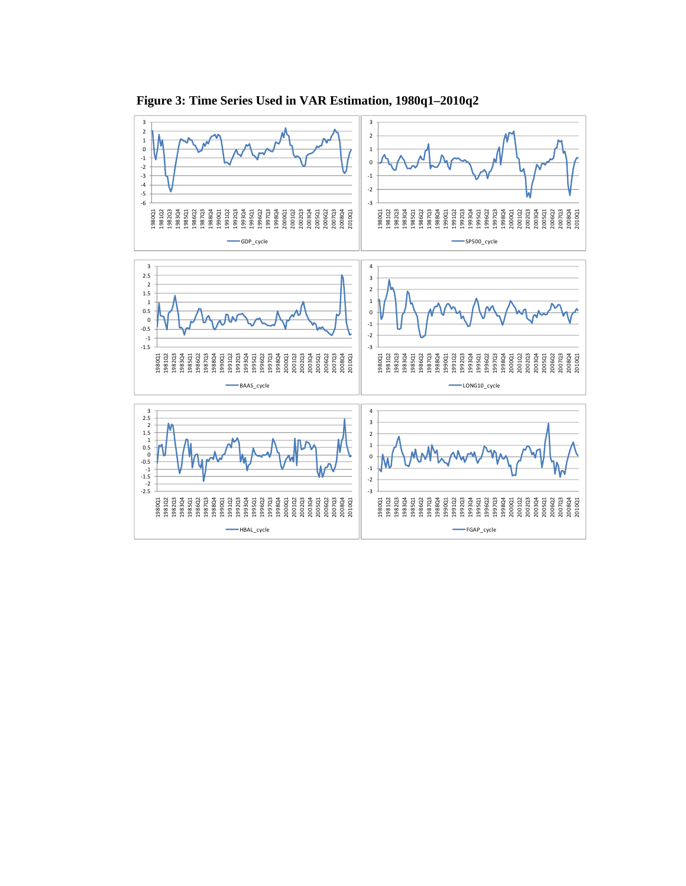

 **Figure 3: Time Series Used in VAR Estimation, 1980q1–2010q2**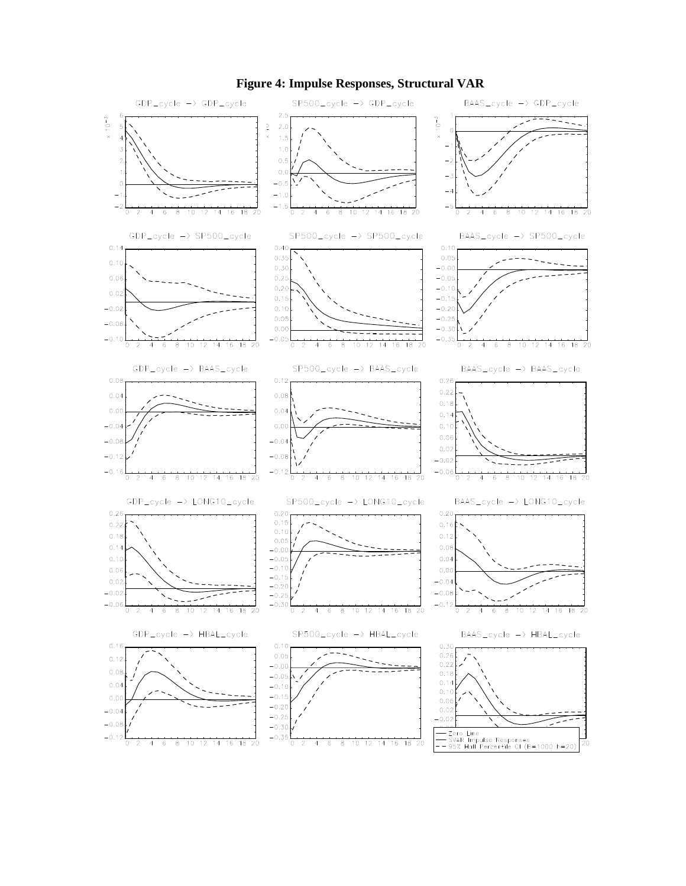

#### **Figure 4: Impulse Responses, Structural VAR**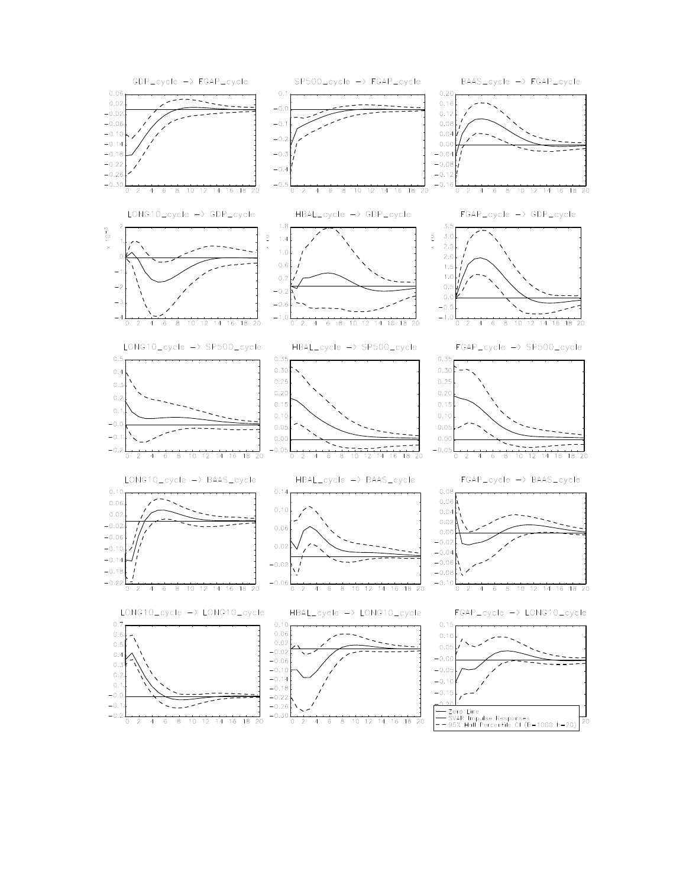